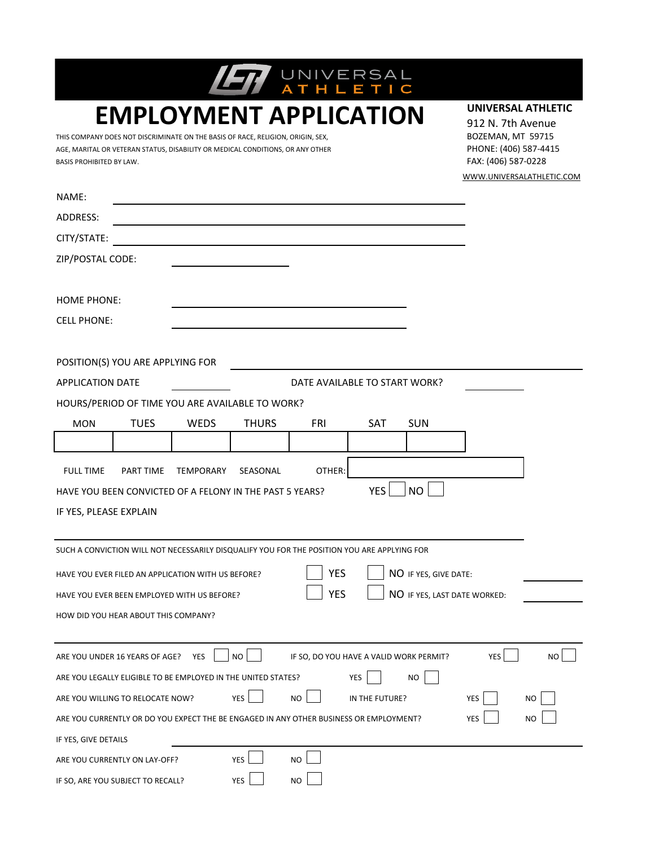| <b>BASIS PROHIBITED BY LAW.</b> | THIS COMPANY DOES NOT DISCRIMINATE ON THE BASIS OF RACE, RELIGION, ORIGIN, SEX,<br>AGE, MARITAL OR VETERAN STATUS, DISABILITY OR MEDICAL CONDITIONS, OR ANY OTHER |                  |              | <b>EMPLOYMENT APPLICATION</b>                                                               |                |                       | UNIVERSAL ATHLETIC<br>912 N. 7th Avenue<br>BOZEMAN, MT 59715<br>PHONE: (406) 587-4415<br>FAX: (406) 587-0228 | WWW.UNIVERSALATHLETIC.COM |
|---------------------------------|-------------------------------------------------------------------------------------------------------------------------------------------------------------------|------------------|--------------|---------------------------------------------------------------------------------------------|----------------|-----------------------|--------------------------------------------------------------------------------------------------------------|---------------------------|
| NAME:                           |                                                                                                                                                                   |                  |              |                                                                                             |                |                       |                                                                                                              |                           |
| ADDRESS:                        |                                                                                                                                                                   |                  |              |                                                                                             |                |                       |                                                                                                              |                           |
| CITY/STATE:                     |                                                                                                                                                                   |                  |              |                                                                                             |                |                       |                                                                                                              |                           |
| ZIP/POSTAL CODE:                |                                                                                                                                                                   |                  |              |                                                                                             |                |                       |                                                                                                              |                           |
| <b>HOME PHONE:</b>              |                                                                                                                                                                   |                  |              |                                                                                             |                |                       |                                                                                                              |                           |
| <b>CELL PHONE:</b>              |                                                                                                                                                                   |                  |              |                                                                                             |                |                       |                                                                                                              |                           |
|                                 |                                                                                                                                                                   |                  |              |                                                                                             |                |                       |                                                                                                              |                           |
|                                 | POSITION(S) YOU ARE APPLYING FOR                                                                                                                                  |                  |              |                                                                                             |                |                       |                                                                                                              |                           |
| <b>APPLICATION DATE</b>         | HOURS/PERIOD OF TIME YOU ARE AVAILABLE TO WORK?                                                                                                                   |                  |              | DATE AVAILABLE TO START WORK?                                                               |                |                       |                                                                                                              |                           |
|                                 |                                                                                                                                                                   |                  |              | FRI                                                                                         | <b>SAT</b>     | <b>SUN</b>            |                                                                                                              |                           |
| <b>MON</b>                      | <b>TUES</b>                                                                                                                                                       | WEDS             | <b>THURS</b> |                                                                                             |                |                       |                                                                                                              |                           |
|                                 |                                                                                                                                                                   |                  |              |                                                                                             |                |                       |                                                                                                              |                           |
| <b>FULL TIME</b>                | <b>PART TIME</b>                                                                                                                                                  | <b>TEMPORARY</b> | SEASONAL     | OTHER:                                                                                      |                |                       |                                                                                                              |                           |
|                                 | HAVE YOU BEEN CONVICTED OF A FELONY IN THE PAST 5 YEARS?                                                                                                          |                  |              |                                                                                             | <b>YES</b>     | <b>NO</b>             |                                                                                                              |                           |
| IF YES, PLEASE EXPLAIN          |                                                                                                                                                                   |                  |              |                                                                                             |                |                       |                                                                                                              |                           |
|                                 |                                                                                                                                                                   |                  |              | SUCH A CONVICTION WILL NOT NECESSARILY DISQUALIFY YOU FOR THE POSITION YOU ARE APPLYING FOR |                |                       |                                                                                                              |                           |
|                                 | HAVE YOU EVER FILED AN APPLICATION WITH US BEFORE?                                                                                                                |                  |              | <b>YES</b>                                                                                  |                | NO IF YES, GIVE DATE: |                                                                                                              |                           |
|                                 | HAVE YOU EVER BEEN EMPLOYED WITH US BEFORE?                                                                                                                       |                  |              | <b>YES</b>                                                                                  |                |                       | NO IF YES, LAST DATE WORKED:                                                                                 |                           |
|                                 | HOW DID YOU HEAR ABOUT THIS COMPANY?                                                                                                                              |                  |              |                                                                                             |                |                       |                                                                                                              |                           |
|                                 |                                                                                                                                                                   |                  |              |                                                                                             |                |                       |                                                                                                              |                           |
|                                 | ARE YOU UNDER 16 YEARS OF AGE?                                                                                                                                    | YES              | <b>NO</b>    | IF SO, DO YOU HAVE A VALID WORK PERMIT?                                                     |                |                       | YES                                                                                                          | NO.                       |
|                                 | ARE YOU LEGALLY ELIGIBLE TO BE EMPLOYED IN THE UNITED STATES?                                                                                                     |                  |              |                                                                                             | YES            | <b>NO</b>             |                                                                                                              |                           |
|                                 | ARE YOU WILLING TO RELOCATE NOW?                                                                                                                                  |                  | <b>YES</b>   | <b>NO</b>                                                                                   | IN THE FUTURE? |                       | YES                                                                                                          | NO                        |
|                                 |                                                                                                                                                                   |                  |              | ARE YOU CURRENTLY OR DO YOU EXPECT THE BE ENGAGED IN ANY OTHER BUSINESS OR EMPLOYMENT?      |                |                       | <b>YES</b>                                                                                                   | NO                        |
| IF YES, GIVE DETAILS            |                                                                                                                                                                   |                  |              |                                                                                             |                |                       |                                                                                                              |                           |
|                                 | ARE YOU CURRENTLY ON LAY-OFF?                                                                                                                                     |                  | <b>YES</b>   | N <sub>O</sub>                                                                              |                |                       |                                                                                                              |                           |
|                                 | IF SO, ARE YOU SUBJECT TO RECALL?                                                                                                                                 |                  | YES          | NO                                                                                          |                |                       |                                                                                                              |                           |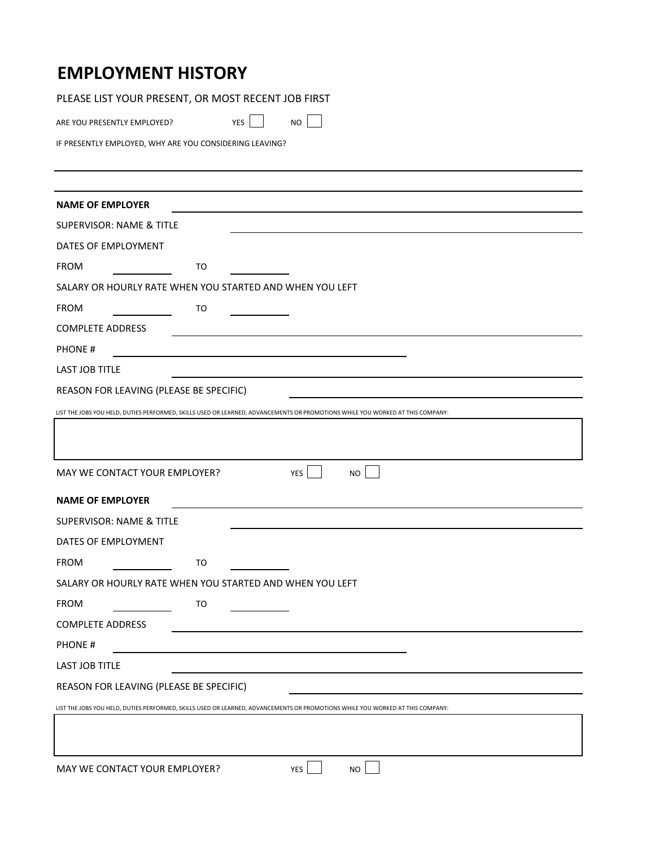## **EMPLOYMENT HISTORY**

PLEASE LIST YOUR PRESENT, OR MOST RECENT JOB FIRST

ARE YOU PRESENTLY EMPLOYED? YES NO

IF PRESENTLY EMPLOYED, WHY ARE YOU CONSIDERING LEAVING?

| SALARY OR HOURLY RATE WHEN YOU STARTED AND WHEN YOU LEFT                                                                       |  |  |  |
|--------------------------------------------------------------------------------------------------------------------------------|--|--|--|
|                                                                                                                                |  |  |  |
|                                                                                                                                |  |  |  |
|                                                                                                                                |  |  |  |
|                                                                                                                                |  |  |  |
| REASON FOR LEAVING (PLEASE BE SPECIFIC)                                                                                        |  |  |  |
| LIST THE JOBS YOU HELD, DUTIES PERFORMED, SKILLS USED OR LEARNED, ADVANCEMENTS OR PROMOTIONS WHILE YOU WORKED AT THIS COMPANY: |  |  |  |
|                                                                                                                                |  |  |  |
| MAY WE CONTACT YOUR EMPLOYER?<br><b>NO</b><br><b>YES</b>                                                                       |  |  |  |
|                                                                                                                                |  |  |  |
|                                                                                                                                |  |  |  |
|                                                                                                                                |  |  |  |
|                                                                                                                                |  |  |  |
| SALARY OR HOURLY RATE WHEN YOU STARTED AND WHEN YOU LEFT                                                                       |  |  |  |
|                                                                                                                                |  |  |  |
|                                                                                                                                |  |  |  |
|                                                                                                                                |  |  |  |
|                                                                                                                                |  |  |  |
| REASON FOR LEAVING (PLEASE BE SPECIFIC)                                                                                        |  |  |  |
| LIST THE JOBS YOU HELD, DUTIES PERFORMED, SKILLS USED OR LEARNED, ADVANCEMENTS OR PROMOTIONS WHILE YOU WORKED AT THIS COMPANY: |  |  |  |
|                                                                                                                                |  |  |  |
|                                                                                                                                |  |  |  |
|                                                                                                                                |  |  |  |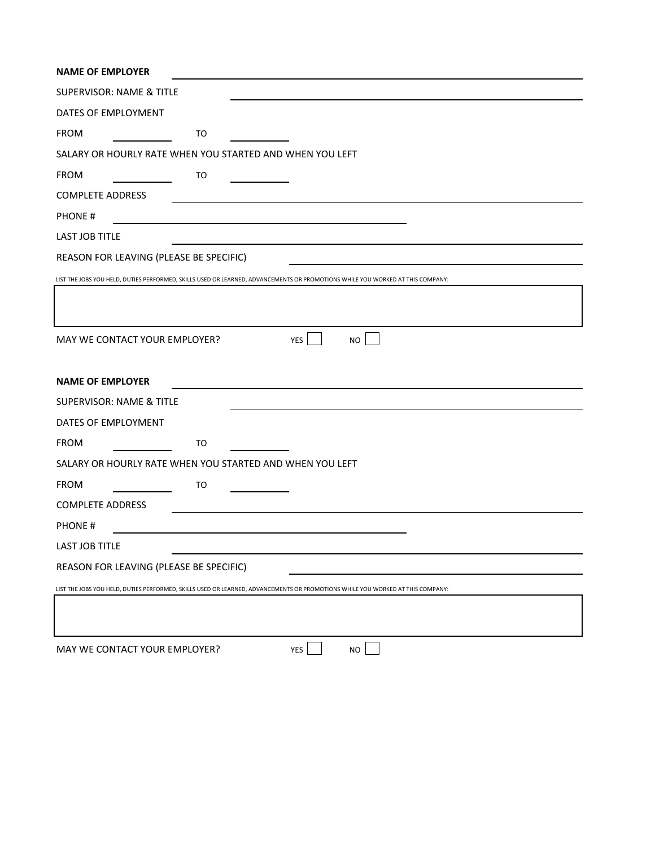| <b>NAME OF EMPLOYER</b>                 |    |                                                                                                                                |
|-----------------------------------------|----|--------------------------------------------------------------------------------------------------------------------------------|
| <b>SUPERVISOR: NAME &amp; TITLE</b>     |    |                                                                                                                                |
| DATES OF EMPLOYMENT                     |    |                                                                                                                                |
| <b>FROM</b>                             | TO |                                                                                                                                |
|                                         |    | SALARY OR HOURLY RATE WHEN YOU STARTED AND WHEN YOU LEFT                                                                       |
| <b>FROM</b>                             | TO |                                                                                                                                |
| <b>COMPLETE ADDRESS</b>                 |    |                                                                                                                                |
| <b>PHONE#</b>                           |    |                                                                                                                                |
| <b>LAST JOB TITLE</b>                   |    |                                                                                                                                |
| REASON FOR LEAVING (PLEASE BE SPECIFIC) |    |                                                                                                                                |
|                                         |    | LIST THE JOBS YOU HELD, DUTIES PERFORMED, SKILLS USED OR LEARNED, ADVANCEMENTS OR PROMOTIONS WHILE YOU WORKED AT THIS COMPANY: |
|                                         |    |                                                                                                                                |
|                                         |    |                                                                                                                                |
| MAY WE CONTACT YOUR EMPLOYER?           |    | <b>NO</b><br>YES                                                                                                               |
|                                         |    |                                                                                                                                |
| <b>NAME OF EMPLOYER</b>                 |    |                                                                                                                                |
| <b>SUPERVISOR: NAME &amp; TITLE</b>     |    |                                                                                                                                |
| DATES OF EMPLOYMENT                     |    |                                                                                                                                |
| <b>FROM</b>                             | TO |                                                                                                                                |
|                                         |    | SALARY OR HOURLY RATE WHEN YOU STARTED AND WHEN YOU LEFT                                                                       |
| <b>FROM</b>                             | TO |                                                                                                                                |
| <b>COMPLETE ADDRESS</b>                 |    |                                                                                                                                |
| <b>PHONE#</b>                           |    |                                                                                                                                |
| LAST JOB TITLE                          |    |                                                                                                                                |
| REASON FOR LEAVING (PLEASE BE SPECIFIC) |    |                                                                                                                                |
|                                         |    | LIST THE JOBS YOU HELD, DUTIES PERFORMED, SKILLS USED OR LEARNED, ADVANCEMENTS OR PROMOTIONS WHILE YOU WORKED AT THIS COMPANY: |
|                                         |    |                                                                                                                                |
|                                         |    |                                                                                                                                |
| MAY WE CONTACT YOUR EMPLOYER?           |    | YES<br><b>NO</b>                                                                                                               |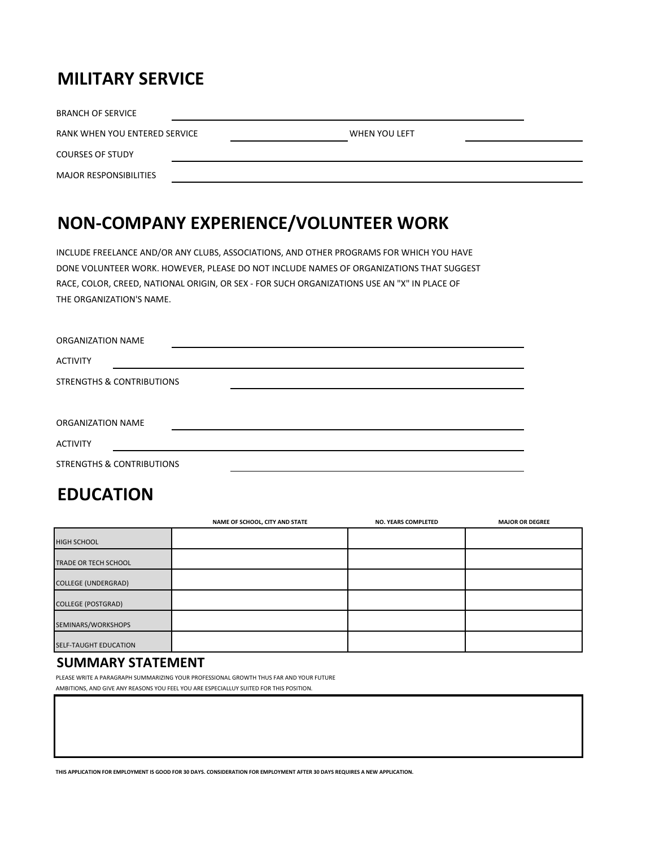### **MILITARY SERVICE**

| <b>BRANCH OF SERVICE</b>      |               |  |
|-------------------------------|---------------|--|
| RANK WHEN YOU ENTERED SERVICE | WHEN YOU LEFT |  |
| <b>COURSES OF STUDY</b>       |               |  |
| <b>MAJOR RESPONSIBILITIES</b> |               |  |

# **NON-COMPANY EXPERIENCE/VOLUNTEER WORK**

INCLUDE FREELANCE AND/OR ANY CLUBS, ASSOCIATIONS, AND OTHER PROGRAMS FOR WHICH YOU HAVE DONE VOLUNTEER WORK. HOWEVER, PLEASE DO NOT INCLUDE NAMES OF ORGANIZATIONS THAT SUGGEST RACE, COLOR, CREED, NATIONAL ORIGIN, OR SEX - FOR SUCH ORGANIZATIONS USE AN "X" IN PLACE OF THE ORGANIZATION'S NAME.

| ORGANIZATION NAME                    |  |
|--------------------------------------|--|
| <b>ACTIVITY</b>                      |  |
| <b>STRENGTHS &amp; CONTRIBUTIONS</b> |  |
|                                      |  |
| ORGANIZATION NAME                    |  |
| <b>ACTIVITY</b>                      |  |
| <b>STRENGTHS &amp; CONTRIBUTIONS</b> |  |

### **EDUCATION**

|                            | NAME OF SCHOOL, CITY AND STATE | <b>NO. YEARS COMPLETED</b> | <b>MAJOR OR DEGREE</b> |
|----------------------------|--------------------------------|----------------------------|------------------------|
| <b>HIGH SCHOOL</b>         |                                |                            |                        |
| TRADE OR TECH SCHOOL       |                                |                            |                        |
| <b>COLLEGE (UNDERGRAD)</b> |                                |                            |                        |
| <b>COLLEGE (POSTGRAD)</b>  |                                |                            |                        |
| SEMINARS/WORKSHOPS         |                                |                            |                        |
| SELF-TAUGHT EDUCATION      |                                |                            |                        |

#### **SUMMARY STATEMENT**

PLEASE WRITE A PARAGRAPH SUMMARIZING YOUR PROFESSIONAL GROWTH THUS FAR AND YOUR FUTURE AMBITIONS, AND GIVE ANY REASONS YOU FEEL YOU ARE ESPECIALLUY SUITED FOR THIS POSITION.

**THIS APPLICATION FOR EMPLOYMENT IS GOOD FOR 30 DAYS. CONSIDERATION FOR EMPLOYMENT AFTER 30 DAYS REQUIRES A NEW APPLICATION.**